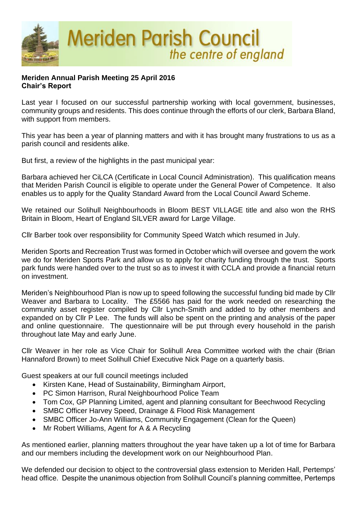

## **Meriden Annual Parish Meeting 25 April 2016 Chair's Report**

Last year I focused on our successful partnership working with local government, businesses, community groups and residents. This does continue through the efforts of our clerk, Barbara Bland, with support from members.

This year has been a year of planning matters and with it has brought many frustrations to us as a parish council and residents alike.

But first, a review of the highlights in the past municipal year:

Barbara achieved her CiLCA (Certificate in Local Council Administration). This qualification means that Meriden Parish Council is eligible to operate under the General Power of Competence. It also enables us to apply for the Quality Standard Award from the Local Council Award Scheme.

We retained our Solihull Neighbourhoods in Bloom BEST VILLAGE title and also won the RHS Britain in Bloom, Heart of England SILVER award for Large Village.

Cllr Barber took over responsibility for Community Speed Watch which resumed in July.

Meriden Sports and Recreation Trust was formed in October which will oversee and govern the work we do for Meriden Sports Park and allow us to apply for charity funding through the trust. Sports park funds were handed over to the trust so as to invest it with CCLA and provide a financial return on investment.

Meriden's Neighbourhood Plan is now up to speed following the successful funding bid made by Cllr Weaver and Barbara to Locality. The £5566 has paid for the work needed on researching the community asset register compiled by Cllr Lynch-Smith and added to by other members and expanded on by Cllr P Lee. The funds will also be spent on the printing and analysis of the paper and online questionnaire. The questionnaire will be put through every household in the parish throughout late May and early June.

Cllr Weaver in her role as Vice Chair for Solihull Area Committee worked with the chair (Brian Hannaford Brown) to meet Solihull Chief Executive Nick Page on a quarterly basis.

Guest speakers at our full council meetings included

- Kirsten Kane, Head of Sustainability, Birmingham Airport,
- PC Simon Harrison, Rural Neighbourhood Police Team
- Tom Cox, GP Planning Limited, agent and planning consultant for Beechwood Recycling
- SMBC Officer Harvey Speed, Drainage & Flood Risk Management
- SMBC Officer Jo-Ann Williams, Community Engagement (Clean for the Queen)
- Mr Robert Williams, Agent for A & A Recycling

As mentioned earlier, planning matters throughout the year have taken up a lot of time for Barbara and our members including the development work on our Neighbourhood Plan.

We defended our decision to object to the controversial glass extension to Meriden Hall, Pertemps' head office. Despite the unanimous objection from Solihull Council's planning committee, Pertemps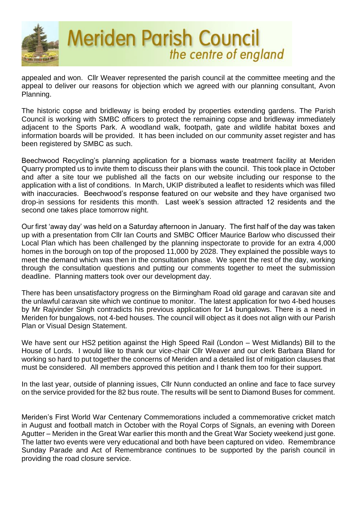

appealed and won. Cllr Weaver represented the parish council at the committee meeting and the appeal to deliver our reasons for objection which we agreed with our planning consultant, Avon Planning.

The historic copse and bridleway is being eroded by properties extending gardens. The Parish Council is working with SMBC officers to protect the remaining copse and bridleway immediately adjacent to the Sports Park. A woodland walk, footpath, gate and wildlife habitat boxes and information boards will be provided. It has been included on our community asset register and has been registered by SMBC as such.

Beechwood Recycling's planning application for a biomass waste treatment facility at Meriden Quarry prompted us to invite them to discuss their plans with the council. This took place in October and after a site tour we published all the facts on our website including our response to the application with a list of conditions. In March, UKIP distributed a leaflet to residents which was filled with inaccuracies. Beechwood's response featured on our website and they have organised two drop-in sessions for residents this month. Last week's session attracted 12 residents and the second one takes place tomorrow night.

Our first 'away day' was held on a Saturday afternoon in January. The first half of the day was taken up with a presentation from Cllr Ian Courts and SMBC Officer Maurice Barlow who discussed their Local Plan which has been challenged by the planning inspectorate to provide for an extra 4,000 homes in the borough on top of the proposed 11,000 by 2028. They explained the possible ways to meet the demand which was then in the consultation phase. We spent the rest of the day, working through the consultation questions and putting our comments together to meet the submission deadline. Planning matters took over our development day.

There has been unsatisfactory progress on the Birmingham Road old garage and caravan site and the unlawful caravan site which we continue to monitor. The latest application for two 4-bed houses by Mr Rajvinder Singh contradicts his previous application for 14 bungalows. There is a need in Meriden for bungalows, not 4-bed houses. The council will object as it does not align with our Parish Plan or Visual Design Statement.

We have sent our HS2 petition against the High Speed Rail (London – West Midlands) Bill to the House of Lords. I would like to thank our vice-chair Cllr Weaver and our clerk Barbara Bland for working so hard to put together the concerns of Meriden and a detailed list of mitigation clauses that must be considered. All members approved this petition and I thank them too for their support.

In the last year, outside of planning issues, Cllr Nunn conducted an online and face to face survey on the service provided for the 82 bus route. The results will be sent to Diamond Buses for comment.

Meriden's First World War Centenary Commemorations included a commemorative cricket match in August and football match in October with the Royal Corps of Signals, an evening with Doreen Agutter – Meriden in the Great War earlier this month and the Great War Society weekend just gone. The latter two events were very educational and both have been captured on video. Remembrance Sunday Parade and Act of Remembrance continues to be supported by the parish council in providing the road closure service.